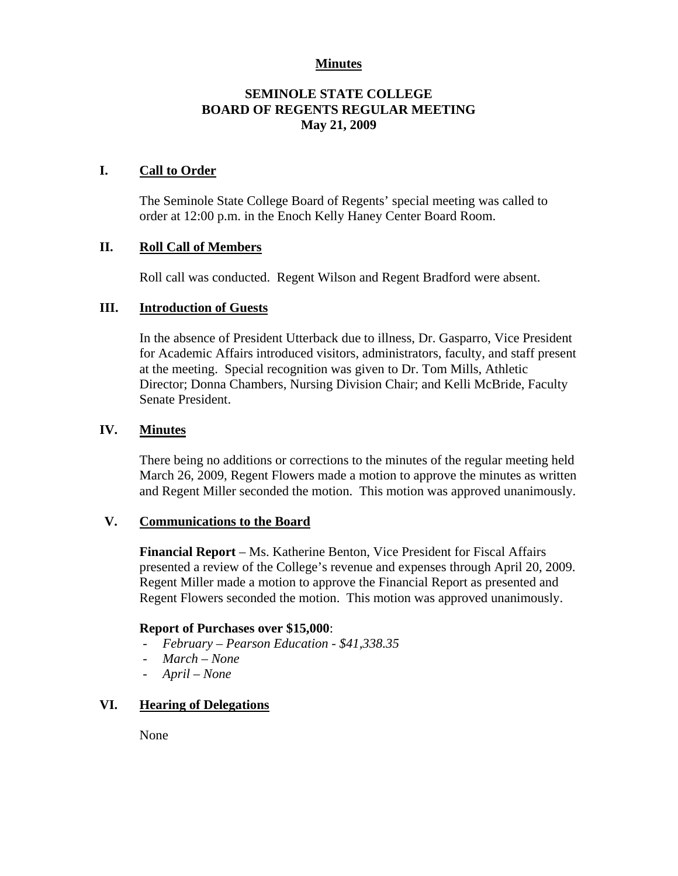### **Minutes**

## **SEMINOLE STATE COLLEGE BOARD OF REGENTS REGULAR MEETING May 21, 2009**

### **I. Call to Order**

The Seminole State College Board of Regents' special meeting was called to order at 12:00 p.m. in the Enoch Kelly Haney Center Board Room.

## **II. Roll Call of Members**

Roll call was conducted. Regent Wilson and Regent Bradford were absent.

#### **III. Introduction of Guests**

In the absence of President Utterback due to illness, Dr. Gasparro, Vice President for Academic Affairs introduced visitors, administrators, faculty, and staff present at the meeting. Special recognition was given to Dr. Tom Mills, Athletic Director; Donna Chambers, Nursing Division Chair; and Kelli McBride, Faculty Senate President.

## **IV. Minutes**

There being no additions or corrections to the minutes of the regular meeting held March 26, 2009, Regent Flowers made a motion to approve the minutes as written and Regent Miller seconded the motion. This motion was approved unanimously.

#### **V. Communications to the Board**

**Financial Report** – Ms. Katherine Benton, Vice President for Fiscal Affairs presented a review of the College's revenue and expenses through April 20, 2009. Regent Miller made a motion to approve the Financial Report as presented and Regent Flowers seconded the motion. This motion was approved unanimously.

#### **Report of Purchases over \$15,000**:

- *February Pearson Education \$41,338.35*
- *March None*
- *April None*

# **VI. Hearing of Delegations**

None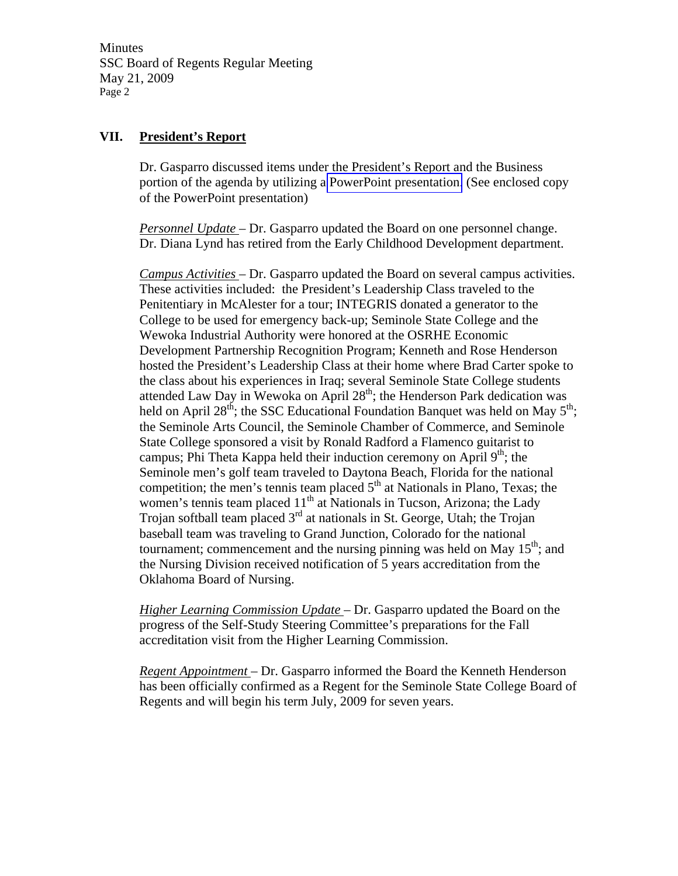Minutes SSC Board of Regents Regular Meeting May 21, 2009 Page 2

## **VII. President's Report**

Dr. Gasparro discussed items under the President's Report and the Business portion of the agenda by utilizing a PowerPoint presentation. (See enclosed copy of the PowerPoint presentation)

*Personnel Update* – Dr. Gasparro updated the Board on one personnel change. Dr. Diana Lynd has retired from the Early Childhood Development department.

*Campus Activities* – Dr. Gasparro updated the Board on several campus activities. These activities included: the President's Leadership Class traveled to the Penitentiary in McAlester for a tour; INTEGRIS donated a generator to the College to be used for emergency back-up; Seminole State College and the Wewoka Industrial Authority were honored at the OSRHE Economic Development Partnership Recognition Program; Kenneth and Rose Henderson hosted the President's Leadership Class at their home where Brad Carter spoke to the class about his experiences in Iraq; several Seminole State College students attended Law Day in Wewoka on April  $28<sup>th</sup>$ ; the Henderson Park dedication was held on April 28<sup>th</sup>; the SSC Educational Foundation Banquet was held on May  $5<sup>th</sup>$ ; the Seminole Arts Council, the Seminole Chamber of Commerce, and Seminole State College sponsored a visit by Ronald Radford a Flamenco guitarist to campus; Phi Theta Kappa held their induction ceremony on April  $9<sup>th</sup>$ ; the Seminole men's golf team traveled to Daytona Beach, Florida for the national competition; the men's tennis team placed  $5<sup>th</sup>$  at Nationals in Plano, Texas; the women's tennis team placed  $11<sup>th</sup>$  at Nationals in Tucson, Arizona; the Lady Trojan softball team placed  $3<sup>rd</sup>$  at nationals in St. George, Utah; the Trojan baseball team was traveling to Grand Junction, Colorado for the national tournament; commencement and the nursing pinning was held on May  $15<sup>th</sup>$ ; and the Nursing Division received notification of 5 years accreditation from the Oklahoma Board of Nursing.

*Higher Learning Commission Update* – Dr. Gasparro updated the Board on the progress of the Self-Study Steering Committee's preparations for the Fall accreditation visit from the Higher Learning Commission.

*Regent Appointment* – Dr. Gasparro informed the Board the Kenneth Henderson has been officially confirmed as a Regent for the Seminole State College Board of Regents and will begin his term July, 2009 for seven years.